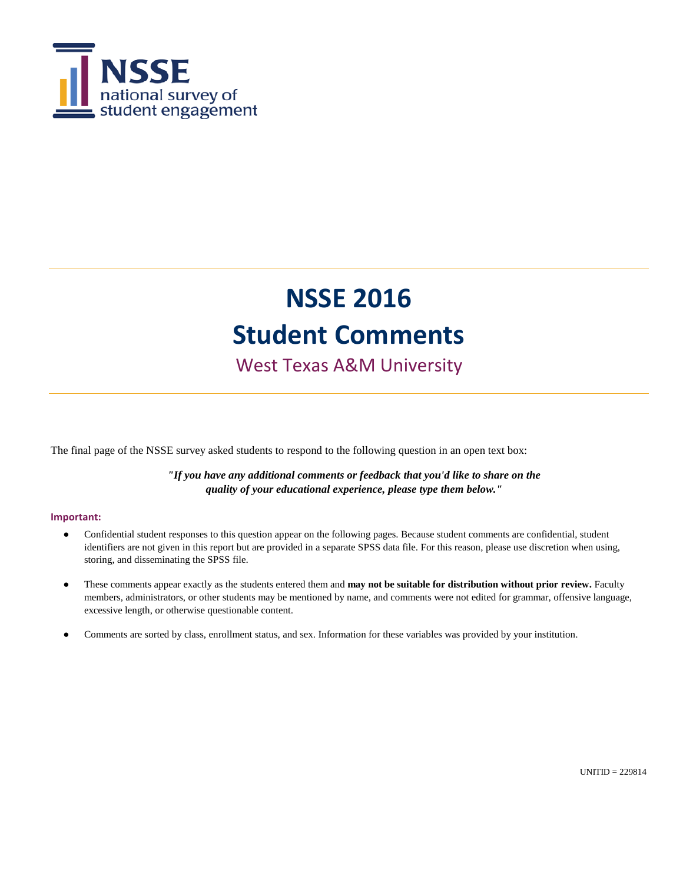

West Texas A&M University

The final page of the NSSE survey asked students to respond to the following question in an open text box:

*"If you have any additional comments or feedback that you'd like to share on the quality of your educational experience, please type them below."*

#### **Important:**

- $\bullet$ Confidential student responses to this question appear on the following pages. Because student comments are confidential, student identifiers are not given in this report but are provided in a separate SPSS data file. For this reason, please use discretion when using, storing, and disseminating the SPSS file.
- These comments appear exactly as the students entered them and **may not be suitable for distribution without prior review.** Faculty members, administrators, or other students may be mentioned by name, and comments were not edited for grammar, offensive language, excessive length, or otherwise questionable content.
- Comments are sorted by class, enrollment status, and sex. Information for these variables was provided by your institution.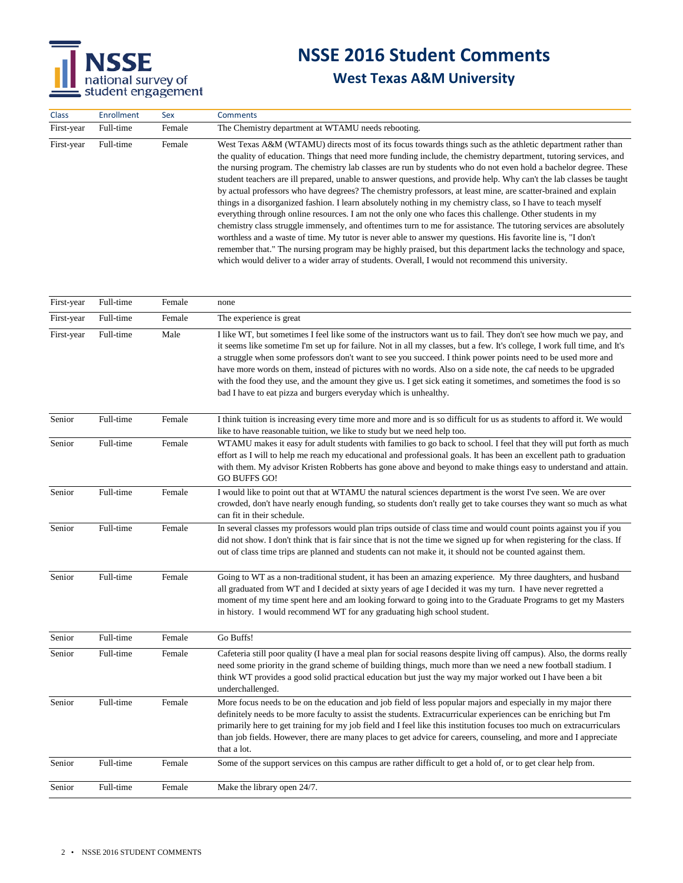

| <b>Class</b> | <b>Enrollment</b> | Sex    | <b>Comments</b>                                                                                                                                                                                                                                                                                                                                                                                                                                                                                                                                                                                                                                                                                                                                                                                                                                                                                                                                                                                                                                                                                                                                                                                                                                                                            |
|--------------|-------------------|--------|--------------------------------------------------------------------------------------------------------------------------------------------------------------------------------------------------------------------------------------------------------------------------------------------------------------------------------------------------------------------------------------------------------------------------------------------------------------------------------------------------------------------------------------------------------------------------------------------------------------------------------------------------------------------------------------------------------------------------------------------------------------------------------------------------------------------------------------------------------------------------------------------------------------------------------------------------------------------------------------------------------------------------------------------------------------------------------------------------------------------------------------------------------------------------------------------------------------------------------------------------------------------------------------------|
| First-year   | Full-time         | Female | The Chemistry department at WTAMU needs rebooting.                                                                                                                                                                                                                                                                                                                                                                                                                                                                                                                                                                                                                                                                                                                                                                                                                                                                                                                                                                                                                                                                                                                                                                                                                                         |
| First-year   | Full-time         | Female | West Texas A&M (WTAMU) directs most of its focus towards things such as the athletic department rather than<br>the quality of education. Things that need more funding include, the chemistry department, tutoring services, and<br>the nursing program. The chemistry lab classes are run by students who do not even hold a bachelor degree. These<br>student teachers are ill prepared, unable to answer questions, and provide help. Why can't the lab classes be taught<br>by actual professors who have degrees? The chemistry professors, at least mine, are scatter-brained and explain<br>things in a disorganized fashion. I learn absolutely nothing in my chemistry class, so I have to teach myself<br>everything through online resources. I am not the only one who faces this challenge. Other students in my<br>chemistry class struggle immensely, and oftentimes turn to me for assistance. The tutoring services are absolutely<br>worthless and a waste of time. My tutor is never able to answer my questions. His favorite line is, "I don't<br>remember that." The nursing program may be highly praised, but this department lacks the technology and space,<br>which would deliver to a wider array of students. Overall, I would not recommend this university. |
| First-year   | Full-time         | Female | none                                                                                                                                                                                                                                                                                                                                                                                                                                                                                                                                                                                                                                                                                                                                                                                                                                                                                                                                                                                                                                                                                                                                                                                                                                                                                       |
| First-year   | Full-time         | Female | The experience is great                                                                                                                                                                                                                                                                                                                                                                                                                                                                                                                                                                                                                                                                                                                                                                                                                                                                                                                                                                                                                                                                                                                                                                                                                                                                    |
| First-year   | Full-time         | Male   | I like WT, but sometimes I feel like some of the instructors want us to fail. They don't see how much we pay, and<br>it seems like sometime I'm set up for failure. Not in all my classes, but a few. It's college, I work full time, and It's<br>a struggle when some professors don't want to see you succeed. I think power points need to be used more and<br>have more words on them, instead of pictures with no words. Also on a side note, the caf needs to be upgraded<br>with the food they use, and the amount they give us. I get sick eating it sometimes, and sometimes the food is so<br>bad I have to eat pizza and burgers everyday which is unhealthy.                                                                                                                                                                                                                                                                                                                                                                                                                                                                                                                                                                                                                   |
| Senior       | Full-time         | Female | I think tuition is increasing every time more and more and is so difficult for us as students to afford it. We would<br>like to have reasonable tuition, we like to study but we need help too.                                                                                                                                                                                                                                                                                                                                                                                                                                                                                                                                                                                                                                                                                                                                                                                                                                                                                                                                                                                                                                                                                            |
| Senior       | Full-time         | Female | WTAMU makes it easy for adult students with families to go back to school. I feel that they will put forth as much<br>effort as I will to help me reach my educational and professional goals. It has been an excellent path to graduation<br>with them. My advisor Kristen Robberts has gone above and beyond to make things easy to understand and attain.<br><b>GO BUFFS GO!</b>                                                                                                                                                                                                                                                                                                                                                                                                                                                                                                                                                                                                                                                                                                                                                                                                                                                                                                        |
| Senior       | Full-time         | Female | I would like to point out that at WTAMU the natural sciences department is the worst I've seen. We are over<br>crowded, don't have nearly enough funding, so students don't really get to take courses they want so much as what<br>can fit in their schedule.                                                                                                                                                                                                                                                                                                                                                                                                                                                                                                                                                                                                                                                                                                                                                                                                                                                                                                                                                                                                                             |
| Senior       | Full-time         | Female | In several classes my professors would plan trips outside of class time and would count points against you if you<br>did not show. I don't think that is fair since that is not the time we signed up for when registering for the class. If<br>out of class time trips are planned and students can not make it, it should not be counted against them.                                                                                                                                                                                                                                                                                                                                                                                                                                                                                                                                                                                                                                                                                                                                                                                                                                                                                                                                   |
| Senior       | Full-time         | Female | Going to WT as a non-traditional student, it has been an amazing experience. My three daughters, and husband<br>all graduated from WT and I decided at sixty years of age I decided it was my turn. I have never regretted a<br>moment of my time spent here and am looking forward to going into to the Graduate Programs to get my Masters<br>in history. I would recommend WT for any graduating high school student.                                                                                                                                                                                                                                                                                                                                                                                                                                                                                                                                                                                                                                                                                                                                                                                                                                                                   |
| Senior       | Full-time         | Female | Go Buffs!                                                                                                                                                                                                                                                                                                                                                                                                                                                                                                                                                                                                                                                                                                                                                                                                                                                                                                                                                                                                                                                                                                                                                                                                                                                                                  |
| Senior       | Full-time         | Female | Cafeteria still poor quality (I have a meal plan for social reasons despite living off campus). Also, the dorms really<br>need some priority in the grand scheme of building things, much more than we need a new football stadium. I<br>think WT provides a good solid practical education but just the way my major worked out I have been a bit<br>underchallenged.                                                                                                                                                                                                                                                                                                                                                                                                                                                                                                                                                                                                                                                                                                                                                                                                                                                                                                                     |
| Senior       | Full-time         | Female | More focus needs to be on the education and job field of less popular majors and especially in my major there<br>definitely needs to be more faculty to assist the students. Extracurricular experiences can be enriching but I'm<br>primarily here to get training for my job field and I feel like this institution focuses too much on extracurriculars<br>than job fields. However, there are many places to get advice for careers, counseling, and more and I appreciate<br>that a lot.                                                                                                                                                                                                                                                                                                                                                                                                                                                                                                                                                                                                                                                                                                                                                                                              |
| Senior       | Full-time         | Female | Some of the support services on this campus are rather difficult to get a hold of, or to get clear help from.                                                                                                                                                                                                                                                                                                                                                                                                                                                                                                                                                                                                                                                                                                                                                                                                                                                                                                                                                                                                                                                                                                                                                                              |
| Senior       | Full-time         | Female | Make the library open 24/7.                                                                                                                                                                                                                                                                                                                                                                                                                                                                                                                                                                                                                                                                                                                                                                                                                                                                                                                                                                                                                                                                                                                                                                                                                                                                |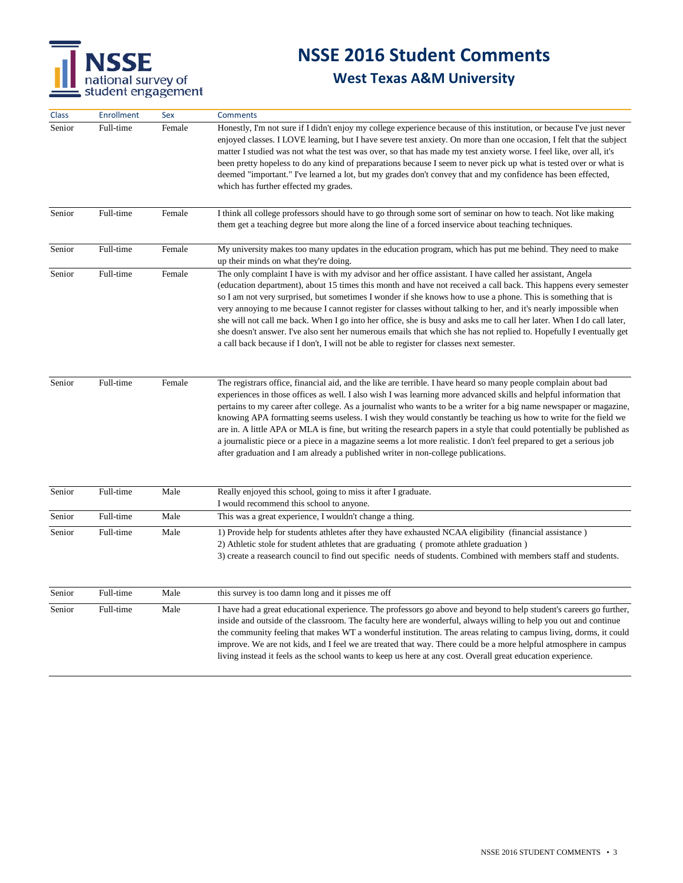

| Class  | <b>Enrollment</b> | Sex    | <b>Comments</b>                                                                                                                                                                                                                                                                                                                                                                                                                                                                                                                                                                                                                                                                                                                                                                                                        |
|--------|-------------------|--------|------------------------------------------------------------------------------------------------------------------------------------------------------------------------------------------------------------------------------------------------------------------------------------------------------------------------------------------------------------------------------------------------------------------------------------------------------------------------------------------------------------------------------------------------------------------------------------------------------------------------------------------------------------------------------------------------------------------------------------------------------------------------------------------------------------------------|
| Senior | Full-time         | Female | Honestly, I'm not sure if I didn't enjoy my college experience because of this institution, or because I've just never<br>enjoyed classes. I LOVE learning, but I have severe test anxiety. On more than one occasion, I felt that the subject<br>matter I studied was not what the test was over, so that has made my test anxiety worse. I feel like, over all, it's<br>been pretty hopeless to do any kind of preparations because I seem to never pick up what is tested over or what is<br>deemed "important." I've learned a lot, but my grades don't convey that and my confidence has been effected,<br>which has further effected my grades.                                                                                                                                                                  |
| Senior | Full-time         | Female | I think all college professors should have to go through some sort of seminar on how to teach. Not like making<br>them get a teaching degree but more along the line of a forced inservice about teaching techniques.                                                                                                                                                                                                                                                                                                                                                                                                                                                                                                                                                                                                  |
| Senior | Full-time         | Female | My university makes too many updates in the education program, which has put me behind. They need to make<br>up their minds on what they're doing.                                                                                                                                                                                                                                                                                                                                                                                                                                                                                                                                                                                                                                                                     |
| Senior | Full-time         | Female | The only complaint I have is with my advisor and her office assistant. I have called her assistant, Angela<br>(education department), about 15 times this month and have not received a call back. This happens every semester<br>so I am not very surprised, but sometimes I wonder if she knows how to use a phone. This is something that is<br>very annoying to me because I cannot register for classes without talking to her, and it's nearly impossible when<br>she will not call me back. When I go into her office, she is busy and asks me to call her later. When I do call later,<br>she doesn't answer. I've also sent her numerous emails that which she has not replied to. Hopefully I eventually get<br>a call back because if I don't, I will not be able to register for classes next semester.    |
| Senior | Full-time         | Female | The registrars office, financial aid, and the like are terrible. I have heard so many people complain about bad<br>experiences in those offices as well. I also wish I was learning more advanced skills and helpful information that<br>pertains to my career after college. As a journalist who wants to be a writer for a big name newspaper or magazine,<br>knowing APA formatting seems useless. I wish they would constantly be teaching us how to write for the field we<br>are in. A little APA or MLA is fine, but writing the research papers in a style that could potentially be published as<br>a journalistic piece or a piece in a magazine seems a lot more realistic. I don't feel prepared to get a serious job<br>after graduation and I am already a published writer in non-college publications. |
| Senior | Full-time         | Male   | Really enjoyed this school, going to miss it after I graduate.<br>I would recommend this school to anyone.                                                                                                                                                                                                                                                                                                                                                                                                                                                                                                                                                                                                                                                                                                             |
| Senior | Full-time         | Male   | This was a great experience, I wouldn't change a thing.                                                                                                                                                                                                                                                                                                                                                                                                                                                                                                                                                                                                                                                                                                                                                                |
| Senior | Full-time         | Male   | 1) Provide help for students athletes after they have exhausted NCAA eligibility (financial assistance)<br>2) Athletic stole for student athletes that are graduating (promote athlete graduation)<br>3) create a reasearch council to find out specific needs of students. Combined with members staff and students.                                                                                                                                                                                                                                                                                                                                                                                                                                                                                                  |
| Senior | Full-time         | Male   | this survey is too damn long and it pisses me off                                                                                                                                                                                                                                                                                                                                                                                                                                                                                                                                                                                                                                                                                                                                                                      |
| Senior | Full-time         | Male   | I have had a great educational experience. The professors go above and beyond to help student's careers go further,<br>inside and outside of the classroom. The faculty here are wonderful, always willing to help you out and continue<br>the community feeling that makes WT a wonderful institution. The areas relating to campus living, dorms, it could<br>improve. We are not kids, and I feel we are treated that way. There could be a more helpful atmosphere in campus<br>living instead it feels as the school wants to keep us here at any cost. Overall great education experience.                                                                                                                                                                                                                       |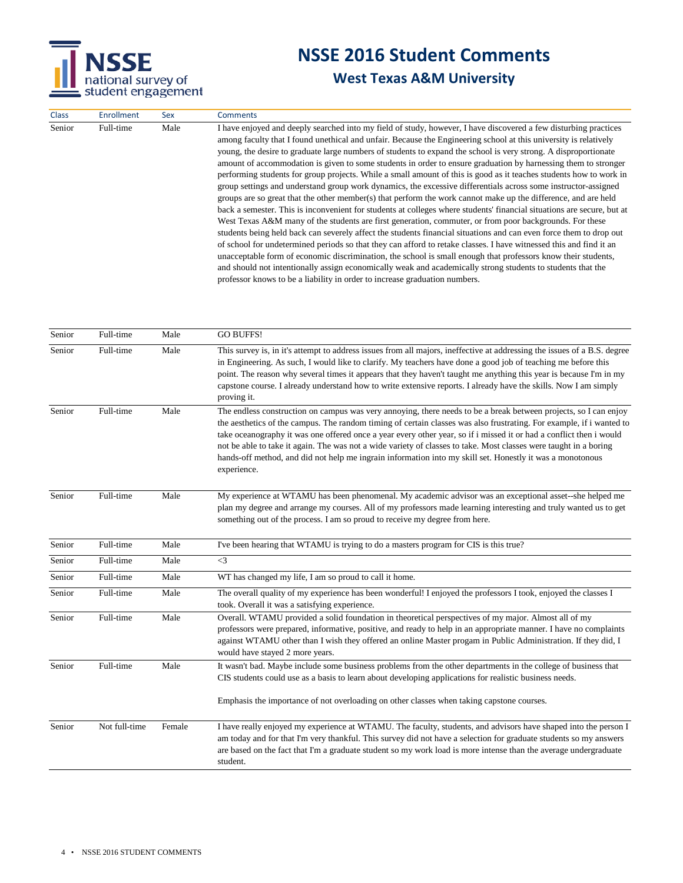

| Senior<br>Full-time<br>Male<br>West Texas A&M many of the students are first generation, commuter, or from poor backgrounds. For these<br>and should not intentionally assign economically weak and academically strong students to students that the<br>professor knows to be a liability in order to increase graduation numbers. | I have enjoyed and deeply searched into my field of study, however, I have discovered a few disturbing practices<br>among faculty that I found unethical and unfair. Because the Engineering school at this university is relatively<br>young, the desire to graduate large numbers of students to expand the school is very strong. A disproportionate<br>amount of accommodation is given to some students in order to ensure graduation by harnessing them to stronger<br>performing students for group projects. While a small amount of this is good as it teaches students how to work in<br>group settings and understand group work dynamics, the excessive differentials across some instructor-assigned<br>groups are so great that the other member(s) that perform the work cannot make up the difference, and are held<br>back a semester. This is inconvenient for students at colleges where students' financial situations are secure, but at<br>students being held back can severely affect the students financial situations and can even force them to drop out<br>of school for undetermined periods so that they can afford to retake classes. I have witnessed this and find it an<br>unacceptable form of economic discrimination, the school is small enough that professors know their students, |
|-------------------------------------------------------------------------------------------------------------------------------------------------------------------------------------------------------------------------------------------------------------------------------------------------------------------------------------|----------------------------------------------------------------------------------------------------------------------------------------------------------------------------------------------------------------------------------------------------------------------------------------------------------------------------------------------------------------------------------------------------------------------------------------------------------------------------------------------------------------------------------------------------------------------------------------------------------------------------------------------------------------------------------------------------------------------------------------------------------------------------------------------------------------------------------------------------------------------------------------------------------------------------------------------------------------------------------------------------------------------------------------------------------------------------------------------------------------------------------------------------------------------------------------------------------------------------------------------------------------------------------------------------------------------------|

| Senior | Full-time     | Male   | <b>GO BUFFS!</b>                                                                                                                                                                                                                                                                                                                                                                                                                                                                                                                                                                                                 |
|--------|---------------|--------|------------------------------------------------------------------------------------------------------------------------------------------------------------------------------------------------------------------------------------------------------------------------------------------------------------------------------------------------------------------------------------------------------------------------------------------------------------------------------------------------------------------------------------------------------------------------------------------------------------------|
| Senior | Full-time     | Male   | This survey is, in it's attempt to address issues from all majors, ineffective at addressing the issues of a B.S. degree<br>in Engineering. As such, I would like to clarify. My teachers have done a good job of teaching me before this<br>point. The reason why several times it appears that they haven't taught me anything this year is because I'm in my<br>capstone course. I already understand how to write extensive reports. I already have the skills. Now I am simply<br>proving it.                                                                                                               |
| Senior | Full-time     | Male   | The endless construction on campus was very annoying, there needs to be a break between projects, so I can enjoy<br>the aesthetics of the campus. The random timing of certain classes was also frustrating. For example, if i wanted to<br>take oceanography it was one offered once a year every other year, so if i missed it or had a conflict then i would<br>not be able to take it again. The was not a wide variety of classes to take. Most classes were taught in a boring<br>hands-off method, and did not help me ingrain information into my skill set. Honestly it was a monotonous<br>experience. |
| Senior | Full-time     | Male   | My experience at WTAMU has been phenomenal. My academic advisor was an exceptional asset--she helped me<br>plan my degree and arrange my courses. All of my professors made learning interesting and truly wanted us to get<br>something out of the process. I am so proud to receive my degree from here.                                                                                                                                                                                                                                                                                                       |
| Senior | Full-time     | Male   | I've been hearing that WTAMU is trying to do a masters program for CIS is this true?                                                                                                                                                                                                                                                                                                                                                                                                                                                                                                                             |
| Senior | Full-time     | Male   | $\leq$ 3                                                                                                                                                                                                                                                                                                                                                                                                                                                                                                                                                                                                         |
| Senior | Full-time     | Male   | WT has changed my life, I am so proud to call it home.                                                                                                                                                                                                                                                                                                                                                                                                                                                                                                                                                           |
| Senior | Full-time     | Male   | The overall quality of my experience has been wonderful! I enjoyed the professors I took, enjoyed the classes I<br>took. Overall it was a satisfying experience.                                                                                                                                                                                                                                                                                                                                                                                                                                                 |
| Senior | Full-time     | Male   | Overall. WTAMU provided a solid foundation in theoretical perspectives of my major. Almost all of my<br>professors were prepared, informative, positive, and ready to help in an appropriate manner. I have no complaints<br>against WTAMU other than I wish they offered an online Master progam in Public Administration. If they did, I<br>would have stayed 2 more years.                                                                                                                                                                                                                                    |
| Senior | Full-time     | Male   | It wasn't bad. Maybe include some business problems from the other departments in the college of business that<br>CIS students could use as a basis to learn about developing applications for realistic business needs.<br>Emphasis the importance of not overloading on other classes when taking capstone courses.                                                                                                                                                                                                                                                                                            |
| Senior | Not full-time | Female | I have really enjoyed my experience at WTAMU. The faculty, students, and advisors have shaped into the person I<br>am today and for that I'm very thankful. This survey did not have a selection for graduate students so my answers<br>are based on the fact that I'm a graduate student so my work load is more intense than the average undergraduate<br>student.                                                                                                                                                                                                                                             |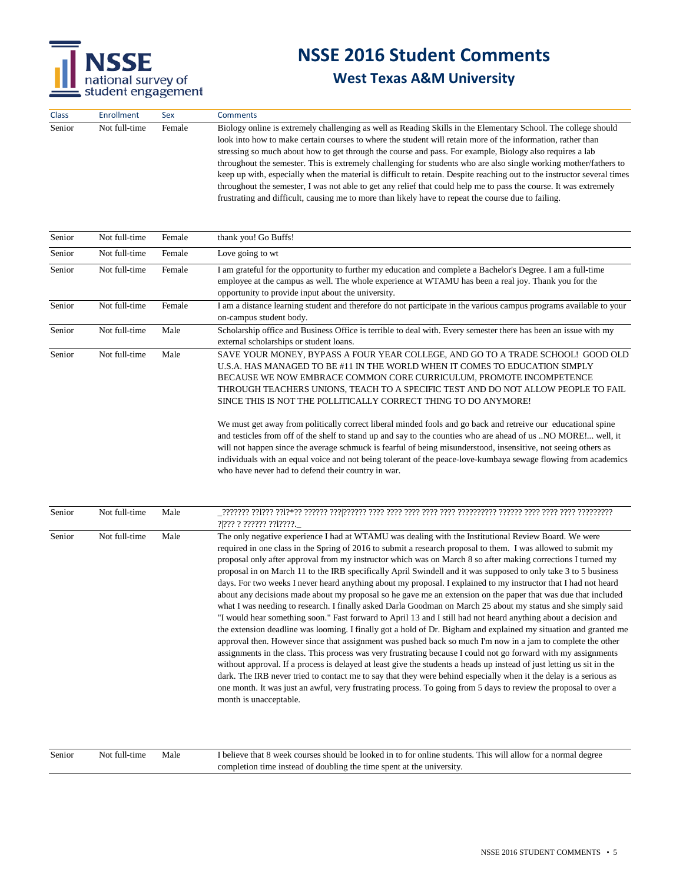

### **West Texas A&M University**

| <b>Class</b> | <b>Enrollment</b> | <b>Sex</b> | <b>Comments</b>                                                                                                                                                                                                                                                                                                                                                                                                                                                                                                                                                                                                                                                                                                                                                                                                       |
|--------------|-------------------|------------|-----------------------------------------------------------------------------------------------------------------------------------------------------------------------------------------------------------------------------------------------------------------------------------------------------------------------------------------------------------------------------------------------------------------------------------------------------------------------------------------------------------------------------------------------------------------------------------------------------------------------------------------------------------------------------------------------------------------------------------------------------------------------------------------------------------------------|
| Senior       | Not full-time     | Female     | Biology online is extremely challenging as well as Reading Skills in the Elementary School. The college should<br>look into how to make certain courses to where the student will retain more of the information, rather than<br>stressing so much about how to get through the course and pass. For example, Biology also requires a lab<br>throughout the semester. This is extremely challenging for students who are also single working mother/fathers to<br>keep up with, especially when the material is difficult to retain. Despite reaching out to the instructor several times<br>throughout the semester, I was not able to get any relief that could help me to pass the course. It was extremely<br>frustrating and difficult, causing me to more than likely have to repeat the course due to failing. |

| Senior | Not full-time | Female | thank you! Go Buffs!                                                                                                                                                                                                                                                                                                                                                                                                                                               |
|--------|---------------|--------|--------------------------------------------------------------------------------------------------------------------------------------------------------------------------------------------------------------------------------------------------------------------------------------------------------------------------------------------------------------------------------------------------------------------------------------------------------------------|
| Senior | Not full-time | Female | Love going to wt                                                                                                                                                                                                                                                                                                                                                                                                                                                   |
| Senior | Not full-time | Female | I am grateful for the opportunity to further my education and complete a Bachelor's Degree. I am a full-time<br>employee at the campus as well. The whole experience at WTAMU has been a real joy. Thank you for the<br>opportunity to provide input about the university.                                                                                                                                                                                         |
| Senior | Not full-time | Female | I am a distance learning student and therefore do not participate in the various campus programs available to your<br>on-campus student body.                                                                                                                                                                                                                                                                                                                      |
| Senior | Not full-time | Male   | Scholarship office and Business Office is terrible to deal with. Every semester there has been an issue with my<br>external scholarships or student loans.                                                                                                                                                                                                                                                                                                         |
| Senior | Not full-time | Male   | SAVE YOUR MONEY, BYPASS A FOUR YEAR COLLEGE, AND GO TO A TRADE SCHOOL! GOOD OLD<br>U.S.A. HAS MANAGED TO BE #11 IN THE WORLD WHEN IT COMES TO EDUCATION SIMPLY<br>BECAUSE WE NOW EMBRACE COMMON CORE CURRICULUM, PROMOTE INCOMPETENCE<br>THROUGH TEACHERS UNIONS. TEACH TO A SPECIFIC TEST AND DO NOT ALLOW PEOPLE TO FAIL<br>SINCE THIS IS NOT THE POLLITICALLY CORRECT THING TO DO ANYMORE!                                                                      |
|        |               |        | We must get away from politically correct liberal minded fools and go back and retreive our educational spine<br>and testicles from off of the shelf to stand up and say to the counties who are ahead of us NO MORE! well, it<br>will not happen since the average schmuck is fearful of being misunderstood, insensitive, not seeing others as<br>individuals with an equal voice and not being tolerant of the peace-love-kumbaya sewage flowing from academics |

who have never had to defend their country in war.

| Senior | Not full-time | Male | ? ??? ? ?????? ?? ????.                                                                                                                                                                                                                                                                                                                                                                                                                                                                                                                                                                                                                                                                                                                                                                                                                                                                                                                                                                                                                                                                                                                                                                                                                                                                                                                                                                                                                                                                                                                                                                                                                                                           |
|--------|---------------|------|-----------------------------------------------------------------------------------------------------------------------------------------------------------------------------------------------------------------------------------------------------------------------------------------------------------------------------------------------------------------------------------------------------------------------------------------------------------------------------------------------------------------------------------------------------------------------------------------------------------------------------------------------------------------------------------------------------------------------------------------------------------------------------------------------------------------------------------------------------------------------------------------------------------------------------------------------------------------------------------------------------------------------------------------------------------------------------------------------------------------------------------------------------------------------------------------------------------------------------------------------------------------------------------------------------------------------------------------------------------------------------------------------------------------------------------------------------------------------------------------------------------------------------------------------------------------------------------------------------------------------------------------------------------------------------------|
| Senior | Not full-time | Male | The only negative experience I had at WTAMU was dealing with the Institutional Review Board. We were<br>required in one class in the Spring of 2016 to submit a research proposal to them. I was allowed to submit my<br>proposal only after approval from my instructor which was on March 8 so after making corrections I turned my<br>proposal in on March 11 to the IRB specifically April Swindell and it was supposed to only take 3 to 5 business<br>days. For two weeks I never heard anything about my proposal. I explained to my instructor that I had not heard<br>about any decisions made about my proposal so he gave me an extension on the paper that was due that included<br>what I was needing to research. I finally asked Darla Goodman on March 25 about my status and she simply said<br>"I would hear something soon." Fast forward to April 13 and I still had not heard anything about a decision and<br>the extension deadline was looming. I finally got a hold of Dr. Bigham and explained my situation and granted me<br>approval then. However since that assignment was pushed back so much I'm now in a jam to complete the other<br>assignments in the class. This process was very frustrating because I could not go forward with my assignments<br>without approval. If a process is delayed at least give the students a heads up instead of just letting us sit in the<br>dark. The IRB never tried to contact me to say that they were behind especially when it the delay is a serious as<br>one month. It was just an awful, very frustrating process. To going from 5 days to review the proposal to over a<br>month is unacceptable. |

| Senior | Not full-time | Male | I believe that 8 week courses should be looked in to for online students. This will allow for a normal degree |
|--------|---------------|------|---------------------------------------------------------------------------------------------------------------|
|        |               |      | completion time instead of doubling the time spent at the university.                                         |